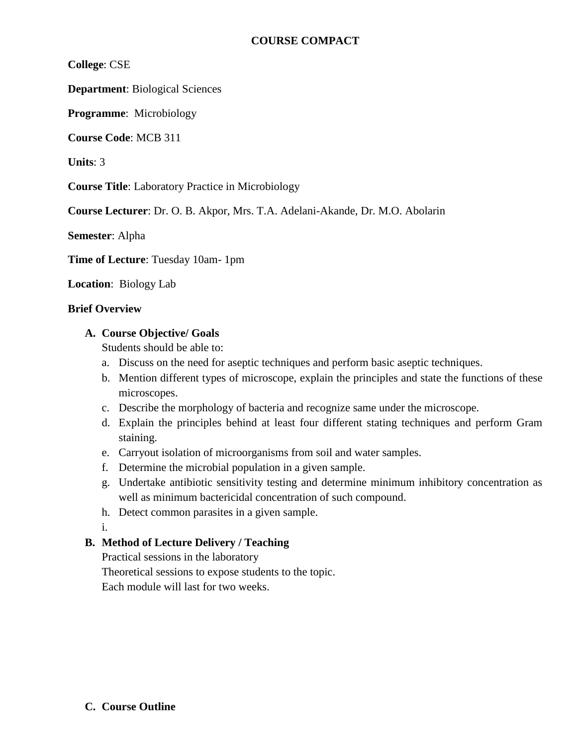# **COURSE COMPACT**

**College**: CSE

**Department**: Biological Sciences

**Programme**: Microbiology

**Course Code**: MCB 311

**Units**: 3

**Course Title**: Laboratory Practice in Microbiology

**Course Lecturer**: Dr. O. B. Akpor, Mrs. T.A. Adelani-Akande, Dr. M.O. Abolarin

**Semester**: Alpha

**Time of Lecture**: Tuesday 10am- 1pm

**Location**: Biology Lab

#### **Brief Overview**

## **A. Course Objective/ Goals**

Students should be able to:

- a. Discuss on the need for aseptic techniques and perform basic aseptic techniques.
- b. Mention different types of microscope, explain the principles and state the functions of these microscopes.
- c. Describe the morphology of bacteria and recognize same under the microscope.
- d. Explain the principles behind at least four different stating techniques and perform Gram staining.
- e. Carryout isolation of microorganisms from soil and water samples.
- f. Determine the microbial population in a given sample.
- g. Undertake antibiotic sensitivity testing and determine minimum inhibitory concentration as well as minimum bactericidal concentration of such compound.
- h. Detect common parasites in a given sample.
- i.

# **B. Method of Lecture Delivery / Teaching**

Practical sessions in the laboratory

Theoretical sessions to expose students to the topic.

Each module will last for two weeks.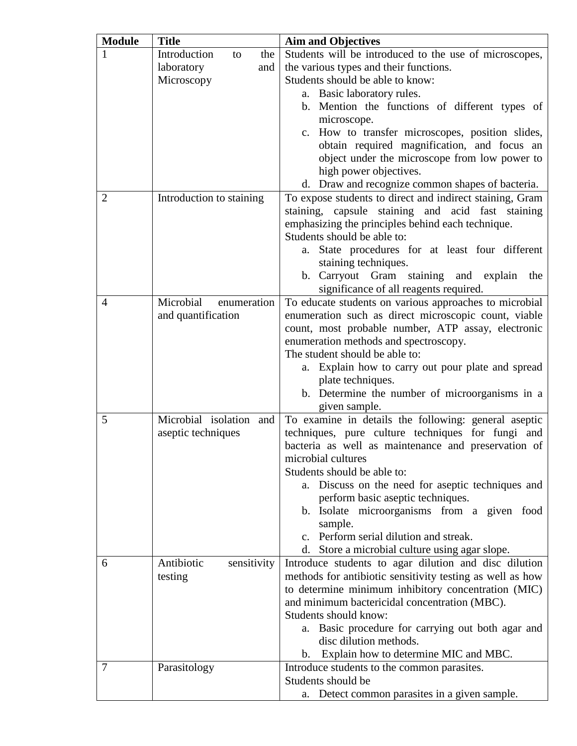| <b>Module</b>  | <b>Title</b>              | <b>Aim and Objectives</b>                                                                                |
|----------------|---------------------------|----------------------------------------------------------------------------------------------------------|
|                | Introduction<br>the<br>to | Students will be introduced to the use of microscopes,                                                   |
|                | laboratory<br>and         | the various types and their functions.                                                                   |
|                | Microscopy                | Students should be able to know:                                                                         |
|                |                           | a. Basic laboratory rules.                                                                               |
|                |                           | b. Mention the functions of different types of                                                           |
|                |                           | microscope.                                                                                              |
|                |                           | c. How to transfer microscopes, position slides,                                                         |
|                |                           | obtain required magnification, and focus an                                                              |
|                |                           | object under the microscope from low power to                                                            |
|                |                           | high power objectives.                                                                                   |
|                |                           | d. Draw and recognize common shapes of bacteria.                                                         |
| 2              | Introduction to staining  | To expose students to direct and indirect staining, Gram                                                 |
|                |                           | staining, capsule staining and acid fast staining                                                        |
|                |                           | emphasizing the principles behind each technique.                                                        |
|                |                           | Students should be able to:                                                                              |
|                |                           | State procedures for at least four different<br>a.                                                       |
|                |                           | staining techniques.                                                                                     |
|                |                           | b. Carryout Gram staining and explain<br>the                                                             |
|                |                           | significance of all reagents required.                                                                   |
| $\overline{4}$ | Microbial<br>enumeration  | To educate students on various approaches to microbial                                                   |
|                | and quantification        | enumeration such as direct microscopic count, viable                                                     |
|                |                           | count, most probable number, ATP assay, electronic                                                       |
|                |                           | enumeration methods and spectroscopy.                                                                    |
|                |                           | The student should be able to:                                                                           |
|                |                           | Explain how to carry out pour plate and spread<br>a.                                                     |
|                |                           | plate techniques.                                                                                        |
|                |                           | b. Determine the number of microorganisms in a                                                           |
|                |                           | given sample.                                                                                            |
| 5              | Microbial isolation and   | To examine in details the following: general aseptic                                                     |
|                | aseptic techniques        | techniques, pure culture techniques for fungi and<br>bacteria as well as maintenance and preservation of |
|                |                           | microbial cultures                                                                                       |
|                |                           | Students should be able to:                                                                              |
|                |                           | Discuss on the need for aseptic techniques and<br>a.                                                     |
|                |                           | perform basic aseptic techniques.                                                                        |
|                |                           | b. Isolate microorganisms from a given food                                                              |
|                |                           | sample.                                                                                                  |
|                |                           | c. Perform serial dilution and streak.                                                                   |
|                |                           | d. Store a microbial culture using agar slope.                                                           |
| 6              | Antibiotic<br>sensitivity | Introduce students to agar dilution and disc dilution                                                    |
|                | testing                   | methods for antibiotic sensitivity testing as well as how                                                |
|                |                           | to determine minimum inhibitory concentration (MIC)                                                      |
|                |                           | and minimum bactericidal concentration (MBC).                                                            |
|                |                           | Students should know:                                                                                    |
|                |                           | Basic procedure for carrying out both agar and<br>a.                                                     |
|                |                           | disc dilution methods.                                                                                   |
|                |                           | b. Explain how to determine MIC and MBC.                                                                 |
| 7              | Parasitology              | Introduce students to the common parasites.                                                              |
|                |                           | Students should be                                                                                       |
|                |                           | Detect common parasites in a given sample.<br>a.                                                         |